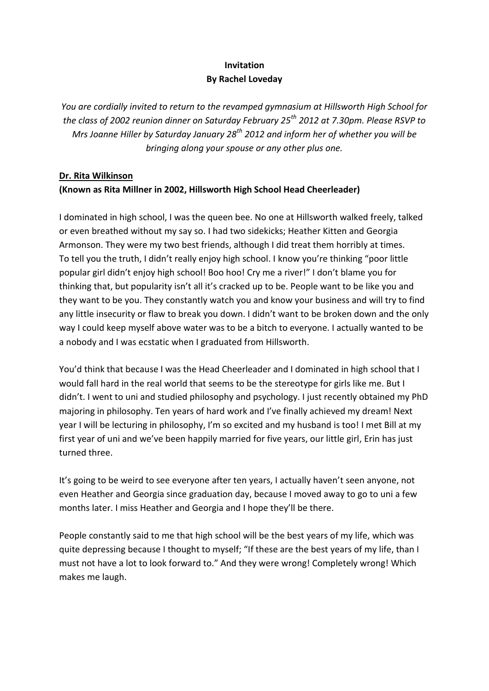# **Invitation By Rachel Loveday**

*You are cordially invited to return to the revamped gymnasium at Hillsworth High School for the class of 2002 reunion dinner on Saturday February 25th 2012 at 7.30pm. Please RSVP to Mrs Joanne Hiller by Saturday January 28th 2012 and inform her of whether you will be bringing along your spouse or any other plus one.*

## **Dr. Rita Wilkinson (Known as Rita Millner in 2002, Hillsworth High School Head Cheerleader)**

I dominated in high school, I was the queen bee. No one at Hillsworth walked freely, talked or even breathed without my say so. I had two sidekicks; Heather Kitten and Georgia Armonson. They were my two best friends, although I did treat them horribly at times. To tell you the truth, I didn't really enjoy high school. I know you're thinking "poor little popular girl didn't enjoy high school! Boo hoo! Cry me a river!" I don't blame you for thinking that, but popularity isn't all it's cracked up to be. People want to be like you and they want to be you. They constantly watch you and know your business and will try to find any little insecurity or flaw to break you down. I didn't want to be broken down and the only way I could keep myself above water was to be a bitch to everyone. I actually wanted to be a nobody and I was ecstatic when I graduated from Hillsworth.

You'd think that because I was the Head Cheerleader and I dominated in high school that I would fall hard in the real world that seems to be the stereotype for girls like me. But I didn't. I went to uni and studied philosophy and psychology. I just recently obtained my PhD majoring in philosophy. Ten years of hard work and I've finally achieved my dream! Next year I will be lecturing in philosophy, I'm so excited and my husband is too! I met Bill at my first year of uni and we've been happily married for five years, our little girl, Erin has just turned three.

It's going to be weird to see everyone after ten years, I actually haven't seen anyone, not even Heather and Georgia since graduation day, because I moved away to go to uni a few months later. I miss Heather and Georgia and I hope they'll be there.

People constantly said to me that high school will be the best years of my life, which was quite depressing because I thought to myself; "If these are the best years of my life, than I must not have a lot to look forward to." And they were wrong! Completely wrong! Which makes me laugh.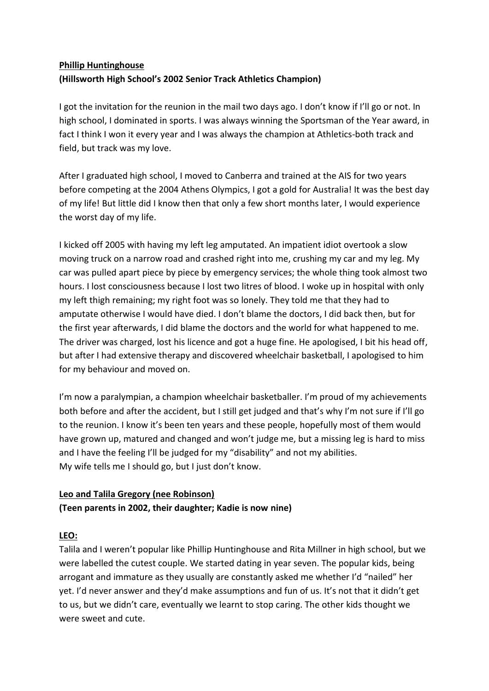# **Phillip Huntinghouse (Hillsworth High School's 2002 Senior Track Athletics Champion)**

I got the invitation for the reunion in the mail two days ago. I don't know if I'll go or not. In high school, I dominated in sports. I was always winning the Sportsman of the Year award, in fact I think I won it every year and I was always the champion at Athletics-both track and field, but track was my love.

After I graduated high school, I moved to Canberra and trained at the AIS for two years before competing at the 2004 Athens Olympics, I got a gold for Australia! It was the best day of my life! But little did I know then that only a few short months later, I would experience the worst day of my life.

I kicked off 2005 with having my left leg amputated. An impatient idiot overtook a slow moving truck on a narrow road and crashed right into me, crushing my car and my leg. My car was pulled apart piece by piece by emergency services; the whole thing took almost two hours. I lost consciousness because I lost two litres of blood. I woke up in hospital with only my left thigh remaining; my right foot was so lonely. They told me that they had to amputate otherwise I would have died. I don't blame the doctors, I did back then, but for the first year afterwards, I did blame the doctors and the world for what happened to me. The driver was charged, lost his licence and got a huge fine. He apologised, I bit his head off, but after I had extensive therapy and discovered wheelchair basketball, I apologised to him for my behaviour and moved on.

I'm now a paralympian, a champion wheelchair basketballer. I'm proud of my achievements both before and after the accident, but I still get judged and that's why I'm not sure if I'll go to the reunion. I know it's been ten years and these people, hopefully most of them would have grown up, matured and changed and won't judge me, but a missing leg is hard to miss and I have the feeling I'll be judged for my "disability" and not my abilities. My wife tells me I should go, but I just don't know.

## **Leo and Talila Gregory (nee Robinson) (Teen parents in 2002, their daughter; Kadie is now nine)**

## **LEO:**

Talila and I weren't popular like Phillip Huntinghouse and Rita Millner in high school, but we were labelled the cutest couple. We started dating in year seven. The popular kids, being arrogant and immature as they usually are constantly asked me whether I'd "nailed" her yet. I'd never answer and they'd make assumptions and fun of us. It's not that it didn't get to us, but we didn't care, eventually we learnt to stop caring. The other kids thought we were sweet and cute.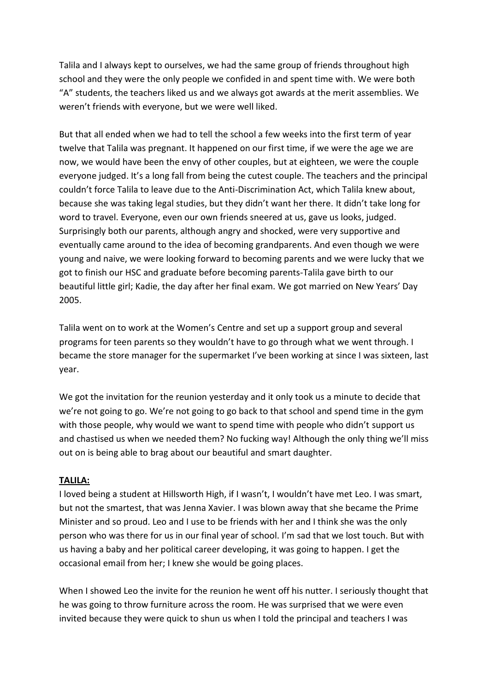Talila and I always kept to ourselves, we had the same group of friends throughout high school and they were the only people we confided in and spent time with. We were both "A" students, the teachers liked us and we always got awards at the merit assemblies. We weren't friends with everyone, but we were well liked.

But that all ended when we had to tell the school a few weeks into the first term of year twelve that Talila was pregnant. It happened on our first time, if we were the age we are now, we would have been the envy of other couples, but at eighteen, we were the couple everyone judged. It's a long fall from being the cutest couple. The teachers and the principal couldn't force Talila to leave due to the Anti-Discrimination Act, which Talila knew about, because she was taking legal studies, but they didn't want her there. It didn't take long for word to travel. Everyone, even our own friends sneered at us, gave us looks, judged. Surprisingly both our parents, although angry and shocked, were very supportive and eventually came around to the idea of becoming grandparents. And even though we were young and naive, we were looking forward to becoming parents and we were lucky that we got to finish our HSC and graduate before becoming parents-Talila gave birth to our beautiful little girl; Kadie, the day after her final exam. We got married on New Years' Day 2005.

Talila went on to work at the Women's Centre and set up a support group and several programs for teen parents so they wouldn't have to go through what we went through. I became the store manager for the supermarket I've been working at since I was sixteen, last year.

We got the invitation for the reunion yesterday and it only took us a minute to decide that we're not going to go. We're not going to go back to that school and spend time in the gym with those people, why would we want to spend time with people who didn't support us and chastised us when we needed them? No fucking way! Although the only thing we'll miss out on is being able to brag about our beautiful and smart daughter.

## **TALILA:**

I loved being a student at Hillsworth High, if I wasn't, I wouldn't have met Leo. I was smart, but not the smartest, that was Jenna Xavier. I was blown away that she became the Prime Minister and so proud. Leo and I use to be friends with her and I think she was the only person who was there for us in our final year of school. I'm sad that we lost touch. But with us having a baby and her political career developing, it was going to happen. I get the occasional email from her; I knew she would be going places.

When I showed Leo the invite for the reunion he went off his nutter. I seriously thought that he was going to throw furniture across the room. He was surprised that we were even invited because they were quick to shun us when I told the principal and teachers I was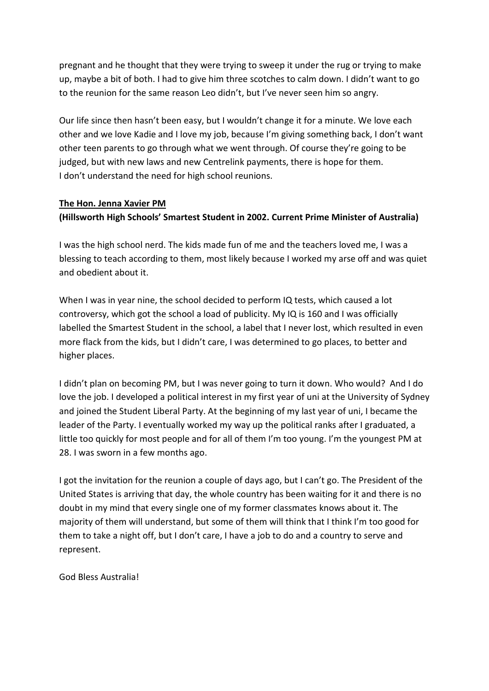pregnant and he thought that they were trying to sweep it under the rug or trying to make up, maybe a bit of both. I had to give him three scotches to calm down. I didn't want to go to the reunion for the same reason Leo didn't, but I've never seen him so angry.

Our life since then hasn't been easy, but I wouldn't change it for a minute. We love each other and we love Kadie and I love my job, because I'm giving something back, I don't want other teen parents to go through what we went through. Of course they're going to be judged, but with new laws and new Centrelink payments, there is hope for them. I don't understand the need for high school reunions.

## **The Hon. Jenna Xavier PM (Hillsworth High Schools' Smartest Student in 2002. Current Prime Minister of Australia)**

I was the high school nerd. The kids made fun of me and the teachers loved me, I was a blessing to teach according to them, most likely because I worked my arse off and was quiet and obedient about it.

When I was in year nine, the school decided to perform IQ tests, which caused a lot controversy, which got the school a load of publicity. My IQ is 160 and I was officially labelled the Smartest Student in the school, a label that I never lost, which resulted in even more flack from the kids, but I didn't care, I was determined to go places, to better and higher places.

I didn't plan on becoming PM, but I was never going to turn it down. Who would? And I do love the job. I developed a political interest in my first year of uni at the University of Sydney and joined the Student Liberal Party. At the beginning of my last year of uni, I became the leader of the Party. I eventually worked my way up the political ranks after I graduated, a little too quickly for most people and for all of them I'm too young. I'm the youngest PM at 28. I was sworn in a few months ago.

I got the invitation for the reunion a couple of days ago, but I can't go. The President of the United States is arriving that day, the whole country has been waiting for it and there is no doubt in my mind that every single one of my former classmates knows about it. The majority of them will understand, but some of them will think that I think I'm too good for them to take a night off, but I don't care, I have a job to do and a country to serve and represent.

God Bless Australia!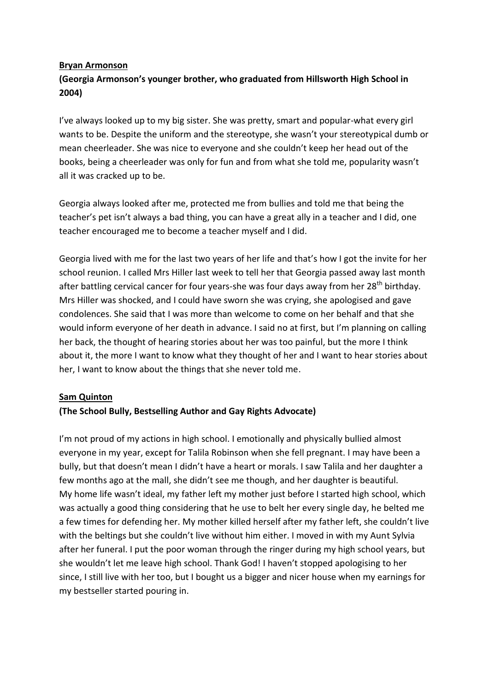#### **Bryan Armonson**

# **(Georgia Armonson's younger brother, who graduated from Hillsworth High School in 2004)**

I've always looked up to my big sister. She was pretty, smart and popular-what every girl wants to be. Despite the uniform and the stereotype, she wasn't your stereotypical dumb or mean cheerleader. She was nice to everyone and she couldn't keep her head out of the books, being a cheerleader was only for fun and from what she told me, popularity wasn't all it was cracked up to be.

Georgia always looked after me, protected me from bullies and told me that being the teacher's pet isn't always a bad thing, you can have a great ally in a teacher and I did, one teacher encouraged me to become a teacher myself and I did.

Georgia lived with me for the last two years of her life and that's how I got the invite for her school reunion. I called Mrs Hiller last week to tell her that Georgia passed away last month after battling cervical cancer for four years-she was four days away from her 28<sup>th</sup> birthday. Mrs Hiller was shocked, and I could have sworn she was crying, she apologised and gave condolences. She said that I was more than welcome to come on her behalf and that she would inform everyone of her death in advance. I said no at first, but I'm planning on calling her back, the thought of hearing stories about her was too painful, but the more I think about it, the more I want to know what they thought of her and I want to hear stories about her, I want to know about the things that she never told me.

## **Sam Quinton**

## **(The School Bully, Bestselling Author and Gay Rights Advocate)**

I'm not proud of my actions in high school. I emotionally and physically bullied almost everyone in my year, except for Talila Robinson when she fell pregnant. I may have been a bully, but that doesn't mean I didn't have a heart or morals. I saw Talila and her daughter a few months ago at the mall, she didn't see me though, and her daughter is beautiful. My home life wasn't ideal, my father left my mother just before I started high school, which was actually a good thing considering that he use to belt her every single day, he belted me a few times for defending her. My mother killed herself after my father left, she couldn't live with the beltings but she couldn't live without him either. I moved in with my Aunt Sylvia after her funeral. I put the poor woman through the ringer during my high school years, but she wouldn't let me leave high school. Thank God! I haven't stopped apologising to her since, I still live with her too, but I bought us a bigger and nicer house when my earnings for my bestseller started pouring in.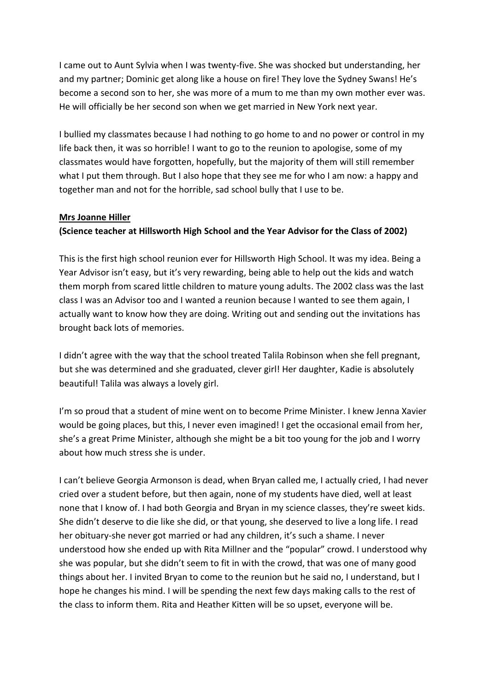I came out to Aunt Sylvia when I was twenty-five. She was shocked but understanding, her and my partner; Dominic get along like a house on fire! They love the Sydney Swans! He's become a second son to her, she was more of a mum to me than my own mother ever was. He will officially be her second son when we get married in New York next year.

I bullied my classmates because I had nothing to go home to and no power or control in my life back then, it was so horrible! I want to go to the reunion to apologise, some of my classmates would have forgotten, hopefully, but the majority of them will still remember what I put them through. But I also hope that they see me for who I am now: a happy and together man and not for the horrible, sad school bully that I use to be.

#### **Mrs Joanne Hiller**

## **(Science teacher at Hillsworth High School and the Year Advisor for the Class of 2002)**

This is the first high school reunion ever for Hillsworth High School. It was my idea. Being a Year Advisor isn't easy, but it's very rewarding, being able to help out the kids and watch them morph from scared little children to mature young adults. The 2002 class was the last class I was an Advisor too and I wanted a reunion because I wanted to see them again, I actually want to know how they are doing. Writing out and sending out the invitations has brought back lots of memories.

I didn't agree with the way that the school treated Talila Robinson when she fell pregnant, but she was determined and she graduated, clever girl! Her daughter, Kadie is absolutely beautiful! Talila was always a lovely girl.

I'm so proud that a student of mine went on to become Prime Minister. I knew Jenna Xavier would be going places, but this, I never even imagined! I get the occasional email from her, she's a great Prime Minister, although she might be a bit too young for the job and I worry about how much stress she is under.

I can't believe Georgia Armonson is dead, when Bryan called me, I actually cried, I had never cried over a student before, but then again, none of my students have died, well at least none that I know of. I had both Georgia and Bryan in my science classes, they're sweet kids. She didn't deserve to die like she did, or that young, she deserved to live a long life. I read her obituary-she never got married or had any children, it's such a shame. I never understood how she ended up with Rita Millner and the "popular" crowd. I understood why she was popular, but she didn't seem to fit in with the crowd, that was one of many good things about her. I invited Bryan to come to the reunion but he said no, I understand, but I hope he changes his mind. I will be spending the next few days making calls to the rest of the class to inform them. Rita and Heather Kitten will be so upset, everyone will be.